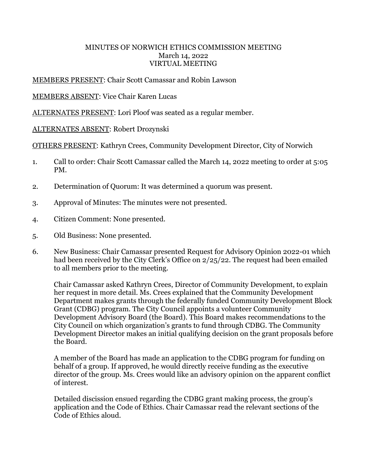## MINUTES OF NORWICH ETHICS COMMISSION MEETING March 14, 2022 VIRTUAL MEETING

## MEMBERS PRESENT: Chair Scott Camassar and Robin Lawson

## MEMBERS ABSENT: Vice Chair Karen Lucas

ALTERNATES PRESENT: Lori Ploof was seated as a regular member.

## ALTERNATES ABSENT: Robert Drozynski

OTHERS PRESENT: Kathryn Crees, Community Development Director, City of Norwich

- 1. Call to order: Chair Scott Camassar called the March 14, 2022 meeting to order at 5:05 PM.
- 2. Determination of Quorum: It was determined a quorum was present.
- 3. Approval of Minutes: The minutes were not presented.
- 4. Citizen Comment: None presented.
- 5. Old Business: None presented.
- 6. New Business: Chair Camassar presented Request for Advisory Opinion 2022-01 which had been received by the City Clerk's Office on 2/25/22. The request had been emailed to all members prior to the meeting.

 Chair Camassar asked Kathryn Crees, Director of Community Development, to explain her request in more detail. Ms. Crees explained that the Community Development Department makes grants through the federally funded Community Development Block Grant (CDBG) program. The City Council appoints a volunteer Community Development Advisory Board (the Board). This Board makes recommendations to the City Council on which organization's grants to fund through CDBG. The Community Development Director makes an initial qualifying decision on the grant proposals before the Board.

A member of the Board has made an application to the CDBG program for funding on behalf of a group. If approved, he would directly receive funding as the executive director of the group. Ms. Crees would like an advisory opinion on the apparent conflict of interest.

Detailed discission ensued regarding the CDBG grant making process, the group's application and the Code of Ethics. Chair Camassar read the relevant sections of the Code of Ethics aloud.